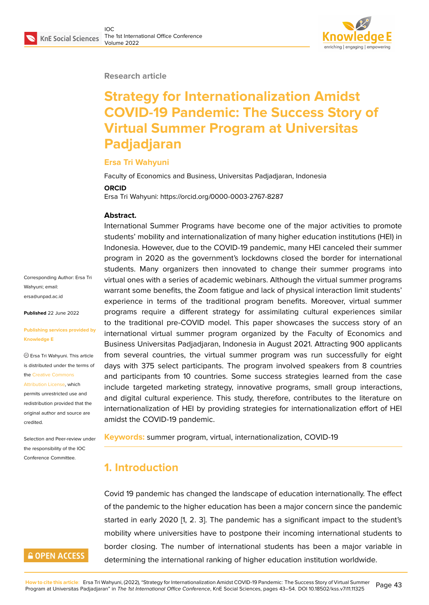#### **Research article**

# **Strategy for Internationalization Amidst COVID-19 Pandemic: The Success Story of Virtual Summer Program at Universitas Padjadjaran**

## **Ersa Tri Wahyuni**

Faculty of Economics and Business, Universitas Padjadjaran, Indonesia

#### **ORCID**

Ersa Tri Wahyuni: https://orcid.org/0000-0003-2767-8287

#### **Abstract.**

International Summer Programs have become one of the major activities to promote students' mobility and internationalization of many higher education institutions (HEI) in Indonesia. However, due to the COVID-19 pandemic, many HEI canceled their summer program in 2020 as the government's lockdowns closed the border for international students. Many organizers then innovated to change their summer programs into virtual ones with a series of academic webinars. Although the virtual summer programs warrant some benefits, the Zoom fatigue and lack of physical interaction limit students' experience in terms of the traditional program benefits. Moreover, virtual summer programs require a different strategy for assimilating cultural experiences similar to the traditional pre-COVID model. This paper showcases the success story of an international virtual summer program organized by the Faculty of Economics and Business Universitas Padjadjaran, Indonesia in August 2021. Attracting 900 applicants from several countries, the virtual summer program was run successfully for eight days with 375 select participants. The program involved speakers from 8 countries and participants from 10 countries. Some success strategies learned from the case include targeted marketing strategy, innovative programs, small group interactions, and digital cultural experience. This study, therefore, contributes to the literature on internationalization of HEI by providing strategies for internationalization effort of HEI amidst the COVID-19 pandemic.

**Keywords:** summer program, virtual, internationalization, COVID-19

# **1. Introduction**

Covid 19 pandemic has changed the landscape of education internationally. The effect of the pandemic to the higher education has been a major concern since the pandemic started in early 2020 [1, 2. 3]. The pandemic has a significant impact to the student's mobility where universities have to postpone their incoming international students to border closing. The number of international students has been a major variable in determining the international ranking of higher education institution worldwide.

Corresponding Author: Ersa Tri Wahyuni; email: ersa@unpad.ac.id

**Published** 22 June 2022

#### **[Publishing service](mailto:ersa@unpad.ac.id)s provided by Knowledge E**

Ersa Tri Wahyuni. This article is distributed under the terms of the Creative Commons

Attribution License, which

permits unrestricted use and redistribution provided that the orig[inal author and sou](https://creativecommons.org/licenses/by/4.0/)rce are [credited.](https://creativecommons.org/licenses/by/4.0/)

Selection and Peer-review under the responsibility of the IOC Conference Committee.

# **GOPEN ACCESS**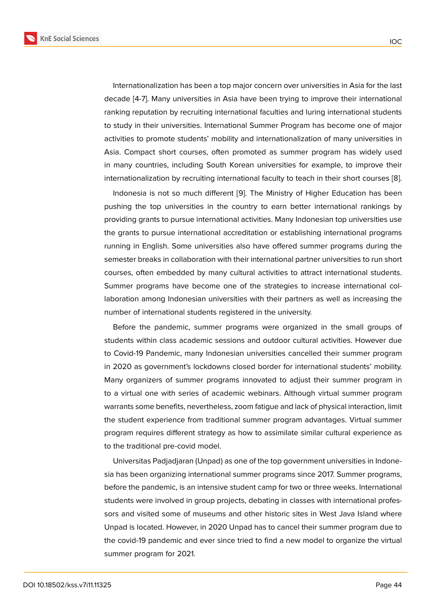Internationalization has been a top major concern over universities in Asia for the last decade [4-7]. Many universities in Asia have been trying to improve their international ranking reputation by recruiting international faculties and luring international students to study in their universities. International Summer Program has become one of major activities to promote students' mobility and internationalization of many universities in Asia. Compact short courses, often promoted as summer program has widely used in many countries, including South Korean universities for example, to improve their internationalization by recruiting international faculty to teach in their short courses [8].

Indonesia is not so much different [9]. The Ministry of Higher Education has been pushing the top universities in the country to earn better international rankings by providing grants to pursue international activities. Many Indonesian top universities [use](#page-11-0) the grants to pursue international accr[ed](#page-11-1)itation or establishing international programs running in English. Some universities also have offered summer programs during the semester breaks in collaboration with their international partner universities to run short courses, often embedded by many cultural activities to attract international students. Summer programs have become one of the strategies to increase international collaboration among Indonesian universities with their partners as well as increasing the number of international students registered in the university.

Before the pandemic, summer programs were organized in the small groups of students within class academic sessions and outdoor cultural activities. However due to Covid-19 Pandemic, many Indonesian universities cancelled their summer program in 2020 as government's lockdowns closed border for international students' mobility. Many organizers of summer programs innovated to adjust their summer program in to a virtual one with series of academic webinars. Although virtual summer program warrants some benefits, nevertheless, zoom fatigue and lack of physical interaction, limit the student experience from traditional summer program advantages. Virtual summer program requires different strategy as how to assimilate similar cultural experience as to the traditional pre-covid model.

Universitas Padjadjaran (Unpad) as one of the top government universities in Indonesia has been organizing international summer programs since 2017. Summer programs, before the pandemic, is an intensive student camp for two or three weeks. International students were involved in group projects, debating in classes with international professors and visited some of museums and other historic sites in West Java Island where Unpad is located. However, in 2020 Unpad has to cancel their summer program due to the covid-19 pandemic and ever since tried to find a new model to organize the virtual summer program for 2021.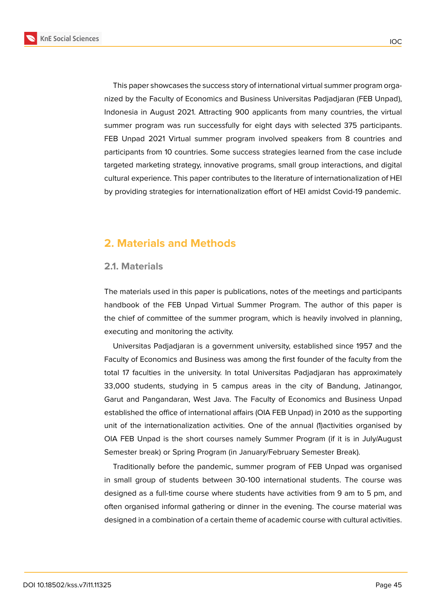

**KnE Social Sciences** 

This paper showcases the success story of international virtual summer program organized by the Faculty of Economics and Business Universitas Padjadjaran (FEB Unpad), Indonesia in August 2021. Attracting 900 applicants from many countries, the virtual summer program was run successfully for eight days with selected 375 participants. FEB Unpad 2021 Virtual summer program involved speakers from 8 countries and participants from 10 countries. Some success strategies learned from the case include targeted marketing strategy, innovative programs, small group interactions, and digital cultural experience. This paper contributes to the literature of internationalization of HEI by providing strategies for internationalization effort of HEI amidst Covid-19 pandemic.

# **2. Materials and Methods**

#### **2.1. Materials**

The materials used in this paper is publications, notes of the meetings and participants handbook of the FEB Unpad Virtual Summer Program. The author of this paper is the chief of committee of the summer program, which is heavily involved in planning, executing and monitoring the activity.

Universitas Padjadjaran is a government university, established since 1957 and the Faculty of Economics and Business was among the first founder of the faculty from the total 17 faculties in the university. In total Universitas Padjadjaran has approximately 33,000 students, studying in 5 campus areas in the city of Bandung, Jatinangor, Garut and Pangandaran, West Java. The Faculty of Economics and Business Unpad established the office of international affairs (OIA FEB Unpad) in 2010 as the supporting unit of the internationalization activities. One of the annual (1)activities organised by OIA FEB Unpad is the short courses namely Summer Program (if it is in July/August Semester break) or Spring Program (in January/February Semester Break).

Traditionally before the pandemic, summer program of FEB Unpad was organised in small group of students between 30-100 international students. The course was designed as a full-time course where students have activities from 9 am to 5 pm, and often organised informal gathering or dinner in the evening. The course material was designed in a combination of a certain theme of academic course with cultural activities.

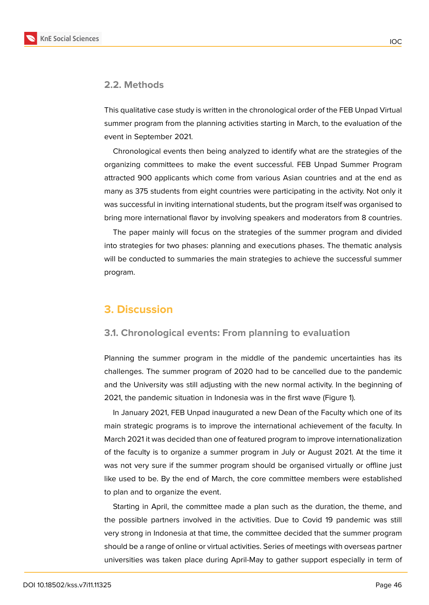### **2.2. Methods**

This qualitative case study is written in the chronological order of the FEB Unpad Virtual summer program from the planning activities starting in March, to the evaluation of the event in September 2021.

Chronological events then being analyzed to identify what are the strategies of the organizing committees to make the event successful. FEB Unpad Summer Program attracted 900 applicants which come from various Asian countries and at the end as many as 375 students from eight countries were participating in the activity. Not only it was successful in inviting international students, but the program itself was organised to bring more international flavor by involving speakers and moderators from 8 countries.

The paper mainly will focus on the strategies of the summer program and divided into strategies for two phases: planning and executions phases. The thematic analysis will be conducted to summaries the main strategies to achieve the successful summer program.

## **3. Discussion**

## **3.1. Chronological events: From planning to evaluation**

Planning the summer program in the middle of the pandemic uncertainties has its challenges. The summer program of 2020 had to be cancelled due to the pandemic and the University was still adjusting with the new normal activity. In the beginning of 2021, the pandemic situation in Indonesia was in the first wave (Figure 1).

In January 2021, FEB Unpad inaugurated a new Dean of the Faculty which one of its main strategic programs is to improve the international achievement of the faculty. In March 2021 it was decided than one of featured program to improve int[ern](#page-4-0)ationalization of the faculty is to organize a summer program in July or August 2021. At the time it was not very sure if the summer program should be organised virtually or offline just like used to be. By the end of March, the core committee members were established to plan and to organize the event.

Starting in April, the committee made a plan such as the duration, the theme, and the possible partners involved in the activities. Due to Covid 19 pandemic was still very strong in Indonesia at that time, the committee decided that the summer program should be a range of online or virtual activities. Series of meetings with overseas partner universities was taken place during April-May to gather support especially in term of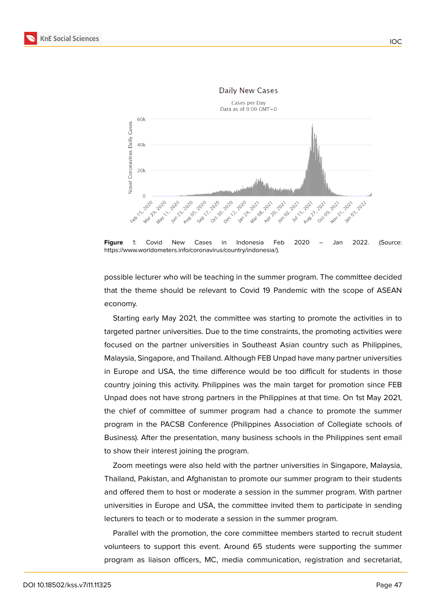

<span id="page-4-0"></span>**Figure** 1: Covid New Cases in Indonesia Feb 2020 – Jan 2022. (Source: https://www.worldometers.info/coronavirus/country/indonesia/).

possible lecturer who will be teaching in the summer program. The committee decided that the theme should be relevant to Covid 19 Pandemic with the scope of ASEAN economy.

Starting early May 2021, the committee was starting to promote the activities in to targeted partner universities. Due to the time constraints, the promoting activities were focused on the partner universities in Southeast Asian country such as Philippines, Malaysia, Singapore, and Thailand. Although FEB Unpad have many partner universities in Europe and USA, the time difference would be too difficult for students in those country joining this activity. Philippines was the main target for promotion since FEB Unpad does not have strong partners in the Philippines at that time. On 1st May 2021, the chief of committee of summer program had a chance to promote the summer program in the PACSB Conference (Philippines Association of Collegiate schools of Business). After the presentation, many business schools in the Philippines sent email to show their interest joining the program.

Zoom meetings were also held with the partner universities in Singapore, Malaysia, Thailand, Pakistan, and Afghanistan to promote our summer program to their students and offered them to host or moderate a session in the summer program. With partner universities in Europe and USA, the committee invited them to participate in sending lecturers to teach or to moderate a session in the summer program.

Parallel with the promotion, the core committee members started to recruit student volunteers to support this event. Around 65 students were supporting the summer program as liaison officers, MC, media communication, registration and secretariat,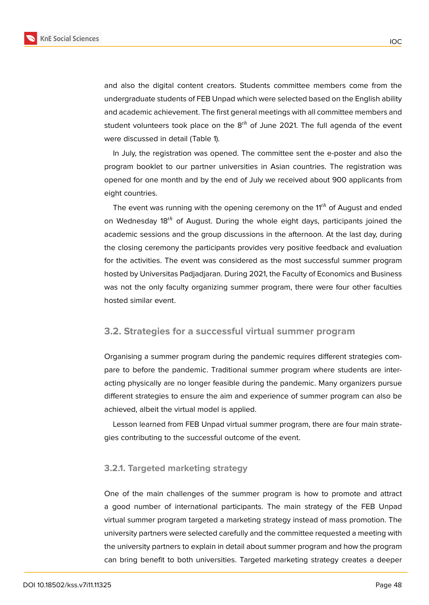and also the digital content creators. Students committee members come from the undergraduate students of FEB Unpad which were selected based on the English ability and academic achievement. The first general meetings with all committee members and student volunteers took place on the  $8<sup>th</sup>$  of June 2021. The full agenda of the event were discussed in detail (Table 1).

In July, the registration was opened. The committee sent the e-poster and also the program booklet to our partner universities in Asian countries. The registration was opened for one month and by the end of July we received about 900 applicants from eight countries.

The event was running with the opening ceremony on the  $11<sup>th</sup>$  of August and ended on Wednesday 18<sup>th</sup> of August. During the whole eight days, participants joined the academic sessions and the group discussions in the afternoon. At the last day, during the closing ceremony the participants provides very positive feedback and evaluation for the activities. The event was considered as the most successful summer program hosted by Universitas Padjadjaran. During 2021, the Faculty of Economics and Business was not the only faculty organizing summer program, there were four other faculties hosted similar event.

## **3.2. Strategies for a successful virtual summer program**

Organising a summer program during the pandemic requires different strategies compare to before the pandemic. Traditional summer program where students are interacting physically are no longer feasible during the pandemic. Many organizers pursue different strategies to ensure the aim and experience of summer program can also be achieved, albeit the virtual model is applied.

Lesson learned from FEB Unpad virtual summer program, there are four main strategies contributing to the successful outcome of the event.

## **3.2.1. Targeted marketing strategy**

One of the main challenges of the summer program is how to promote and attract a good number of international participants. The main strategy of the FEB Unpad virtual summer program targeted a marketing strategy instead of mass promotion. The university partners were selected carefully and the committee requested a meeting with the university partners to explain in detail about summer program and how the program can bring benefit to both universities. Targeted marketing strategy creates a deeper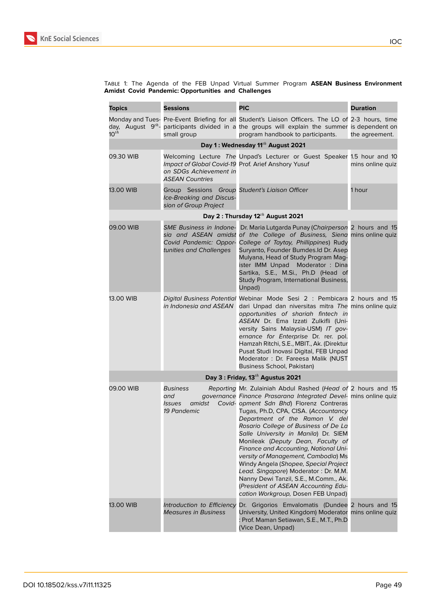

#### Table 1: The Agenda of the FEB Unpad Virtual Summer Program **ASEAN Business Environment Amidst Covid Pandemic: Opportunities and Challenges**

| <b>Topics</b>                                 | <b>Sessions</b>                                                                                         | <b>PIC</b>                                                                                                                                                                                                                                                                                                                                                                                                                                                                                                                                                                                                                                                        | <b>Duration</b>  |  |  |  |
|-----------------------------------------------|---------------------------------------------------------------------------------------------------------|-------------------------------------------------------------------------------------------------------------------------------------------------------------------------------------------------------------------------------------------------------------------------------------------------------------------------------------------------------------------------------------------------------------------------------------------------------------------------------------------------------------------------------------------------------------------------------------------------------------------------------------------------------------------|------------------|--|--|--|
| $10^{th}$                                     | small group                                                                                             | Monday and Tues- Pre-Event Briefing for all Student's Liaison Officers. The LO of 2-3 hours, time<br>day, August 9 <sup>th</sup> - participants divided in a the groups will explain the summer is dependent on<br>program handbook to participants.                                                                                                                                                                                                                                                                                                                                                                                                              | the agreement.   |  |  |  |
| Day 1: Wednesday 11 <sup>th</sup> August 2021 |                                                                                                         |                                                                                                                                                                                                                                                                                                                                                                                                                                                                                                                                                                                                                                                                   |                  |  |  |  |
| 09.30 WIB                                     | Impact of Global Covid-19 Prof. Arief Anshory Yusuf<br>on SDGs Achievement in<br><b>ASEAN Countries</b> | Welcoming Lecture The Unpad's Lecturer or Guest Speaker 1.5 hour and 10                                                                                                                                                                                                                                                                                                                                                                                                                                                                                                                                                                                           | mins online quiz |  |  |  |
| 13.00 WIB                                     | Group Sessions Group Student's Liaison Officer<br>Ice-Breaking and Discus-<br>sion of Group Project     |                                                                                                                                                                                                                                                                                                                                                                                                                                                                                                                                                                                                                                                                   | 1 hour           |  |  |  |
|                                               | Day 2: Thursday 12 <sup>th</sup> August 2021                                                            |                                                                                                                                                                                                                                                                                                                                                                                                                                                                                                                                                                                                                                                                   |                  |  |  |  |
| 09.00 WIB                                     | <b>SME Business in Indone-</b><br>Covid Pandemic: Oppor-<br>tunities and Challenges                     | Dr. Maria Lutgarda Punay (Chairperson 2 hours and 15<br>sia and ASEAN amidst of the College of Business, Siena mins online quiz<br>College of Taytay, Phillippines) Rudy<br>Suryanto, Founder Bumdes.Id Dr. Asep<br>Mulyana, Head of Study Program Mag-<br>ister IMM Unpad Moderator: Dina<br>Sartika, S.E., M.Si., Ph.D (Head of<br>Study Program, International Business,<br>Unpad)                                                                                                                                                                                                                                                                             |                  |  |  |  |
| 13.00 WIB                                     | in Indonesia and ASEAN                                                                                  | Digital Business Potential Webinar Mode Sesi 2: Pembicara 2 hours and 15<br>dari Unpad dan niversitas mitra The mins online quiz<br>opportunities of shariah fintech in<br>ASEAN Dr. Ema Izzati Zulkifli (Uni-<br>versity Sains Malaysia-USM) IT gov-<br>ernance for Enterprise Dr. rer. pol.<br>Hamzah Ritchi, S.E., MBIT., Ak. (Direktur<br>Pusat Studi Inovasi Digital, FEB Unpad<br>Moderator: Dr. Fareesa Malik (NUST<br>Business School, Pakistan)                                                                                                                                                                                                          |                  |  |  |  |
| Day 3: Friday, 13 <sup>th</sup> Agustus 2021  |                                                                                                         |                                                                                                                                                                                                                                                                                                                                                                                                                                                                                                                                                                                                                                                                   |                  |  |  |  |
| 09.00 WIB                                     | Business<br>and<br>amidst<br><i>Issues</i><br>19 Pandemic                                               | Reporting Mr. Zulainiah Abdul Rashed (Head of 2 hours and 15<br>governance Finance Prasarana Integrated Devel- mins online quiz<br>Covid- opment Sdn Bhd) Florenz Contreras<br>Tugas, Ph.D, CPA, CISA. (Accountancy<br>Department of the Ramon V. del<br>Rosario College of Business of De La<br>Salle University in Manila) Dr. SIEM<br>Monileak (Deputy Dean, Faculty of<br>Finance and Accounting, National Uni-<br>versity of Management, Cambodia) Ms<br>Windy Angela (Shopee, Special Project<br>Lead. Singapore) Moderator: Dr. M.M.<br>Nanny Dewi Tanzil, S.E., M.Comm., Ak.<br>(President of ASEAN Accounting Edu-<br>cation Workgroup, Dosen FEB Unpad) |                  |  |  |  |
| 13.00 WIB                                     | Introduction to Efficiency<br><b>Measures in Business</b>                                               | Dr. Grigorios Emvalomatis (Dundee 2 hours and 15<br>University, United Kingdom) Moderator mins online quiz<br>: Prof. Maman Setiawan, S.E., M.T., Ph.D<br>(Vice Dean, Unpad)                                                                                                                                                                                                                                                                                                                                                                                                                                                                                      |                  |  |  |  |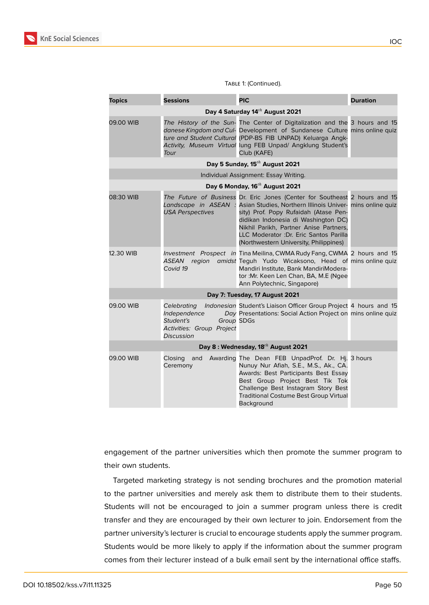

#### TABLE 1: (Continued).

| <b>Topics</b>                                  | <b>Sessions</b>                                                                                          | <b>PIC</b>                                                                                                                                                                                                                                                                                                                                             | <b>Duration</b> |  |  |
|------------------------------------------------|----------------------------------------------------------------------------------------------------------|--------------------------------------------------------------------------------------------------------------------------------------------------------------------------------------------------------------------------------------------------------------------------------------------------------------------------------------------------------|-----------------|--|--|
| Day 4 Saturday 14 <sup>th</sup> August 2021    |                                                                                                          |                                                                                                                                                                                                                                                                                                                                                        |                 |  |  |
| 09.00 WIB                                      | Tour                                                                                                     | The History of the Sun- The Center of Digitalization and the 3 hours and 15<br>danese Kingdom and Cul- Development of Sundanese Culture mins online quiz<br>ture and Student Cultural (PDP-BS FIB UNPAD) Keluarga Angk-<br>Activity, Museum Virtual lung FEB Unpad/ Angklung Student's<br>Club (KAFE)                                                  |                 |  |  |
| Day 5 Sunday, 15 <sup>th</sup> August 2021     |                                                                                                          |                                                                                                                                                                                                                                                                                                                                                        |                 |  |  |
| Individual Assignment: Essay Writing.          |                                                                                                          |                                                                                                                                                                                                                                                                                                                                                        |                 |  |  |
| Day 6 Monday, 16 <sup>th</sup> August 2021     |                                                                                                          |                                                                                                                                                                                                                                                                                                                                                        |                 |  |  |
| 08:30 WIB                                      | Landscape in ASEAN :<br><b>USA Perspectives</b>                                                          | The Future of Business Dr. Eric Jones (Center for Southeast 2 hours and 15<br>Asian Studies, Northern Illinois Univer- mins online quiz<br>sity) Prof. Popy Rufaidah (Atase Pen-<br>didikan Indonesia di Washington DC)<br>Nikhil Parikh, Partner Anise Partners,<br>LLC Moderator : Dr. Eric Santos Parilla<br>(Northwestern University, Philippines) |                 |  |  |
| 12.30 WIB                                      | ASEAN region<br>Covid 19                                                                                 | Investment Prospect in Tina Meilina, CWMA Rudy Fang, CWMA 2 hours and 15<br>amidst Teguh Yudo Wicaksono, Head of mins online quiz<br>Mandiri Institute, Bank MandiriModera-<br>tor : Mr. Keen Len Chan, BA, M.E (Ngee<br>Ann Polytechnic, Singapore)                                                                                                   |                 |  |  |
| Day 7: Tuesday, 17 August 2021                 |                                                                                                          |                                                                                                                                                                                                                                                                                                                                                        |                 |  |  |
| 09.00 WIB                                      | Celebrating<br>Independence<br>Student's<br>Group SDGs<br>Activities: Group Project<br><b>Discussion</b> | Indonesian Student's Liaison Officer Group Project 4 hours and 15<br>Day Presentations: Social Action Project on mins online quiz                                                                                                                                                                                                                      |                 |  |  |
| Day 8: Wednesday, 18 <sup>th</sup> August 2021 |                                                                                                          |                                                                                                                                                                                                                                                                                                                                                        |                 |  |  |
| 09.00 WIB                                      | Closing<br>and<br>Ceremony                                                                               | Awarding The Dean FEB UnpadProf. Dr. Hi. 3 hours<br>Nunuy Nur Afiah, S.E., M.S., Ak., CA.<br>Awards: Best Participants Best Essay<br>Best Group Project Best Tik Tok<br>Challenge Best Instagram Story Best<br><b>Traditional Costume Best Group Virtual</b><br>Background                                                                             |                 |  |  |

engagement of the partner universities which then promote the summer program to their own students.

Targeted marketing strategy is not sending brochures and the promotion material to the partner universities and merely ask them to distribute them to their students. Students will not be encouraged to join a summer program unless there is credit transfer and they are encouraged by their own lecturer to join. Endorsement from the partner university's lecturer is crucial to encourage students apply the summer program. Students would be more likely to apply if the information about the summer program comes from their lecturer instead of a bulk email sent by the international office staffs.

IOC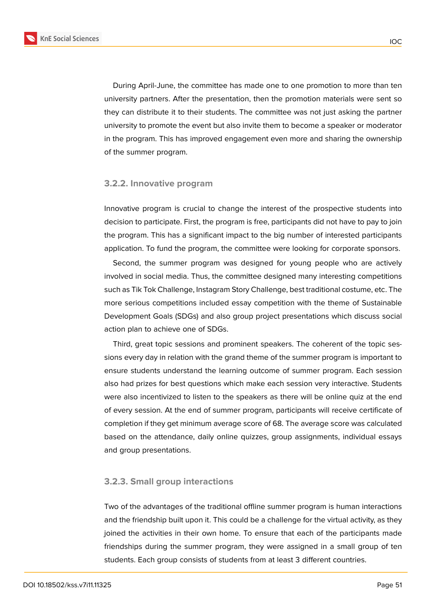

During April-June, the committee has made one to one promotion to more than ten university partners. After the presentation, then the promotion materials were sent so they can distribute it to their students. The committee was not just asking the partner university to promote the event but also invite them to become a speaker or moderator in the program. This has improved engagement even more and sharing the ownership of the summer program.

#### **3.2.2. Innovative program**

Innovative program is crucial to change the interest of the prospective students into decision to participate. First, the program is free, participants did not have to pay to join the program. This has a significant impact to the big number of interested participants application. To fund the program, the committee were looking for corporate sponsors.

Second, the summer program was designed for young people who are actively involved in social media. Thus, the committee designed many interesting competitions such as Tik Tok Challenge, Instagram Story Challenge, best traditional costume, etc. The more serious competitions included essay competition with the theme of Sustainable Development Goals (SDGs) and also group project presentations which discuss social action plan to achieve one of SDGs.

Third, great topic sessions and prominent speakers. The coherent of the topic sessions every day in relation with the grand theme of the summer program is important to ensure students understand the learning outcome of summer program. Each session also had prizes for best questions which make each session very interactive. Students were also incentivized to listen to the speakers as there will be online quiz at the end of every session. At the end of summer program, participants will receive certificate of completion if they get minimum average score of 68. The average score was calculated based on the attendance, daily online quizzes, group assignments, individual essays and group presentations.

#### **3.2.3. Small group interactions**

Two of the advantages of the traditional offline summer program is human interactions and the friendship built upon it. This could be a challenge for the virtual activity, as they joined the activities in their own home. To ensure that each of the participants made friendships during the summer program, they were assigned in a small group of ten students. Each group consists of students from at least 3 different countries.

IOC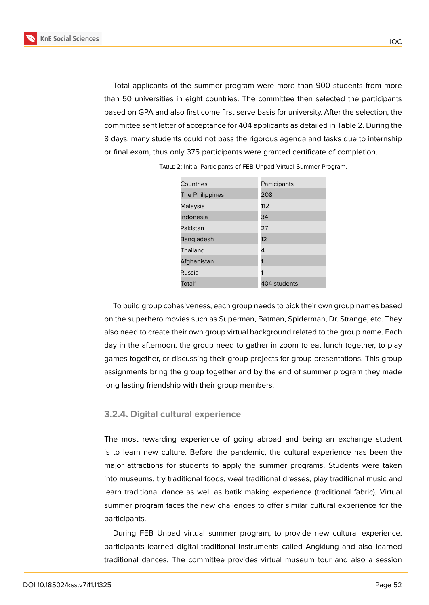Total applicants of the summer program were more than 900 students from more than 50 universities in eight countries. The committee then selected the participants based on GPA and also first come first serve basis for university. After the selection, the committee sent letter of acceptance for 404 applicants as detailed in Table 2. During the 8 days, many students could not pass the rigorous agenda and tasks due to internship or final exam, thus only 375 participants were granted certificate of completion.

| Countries          | Participants |
|--------------------|--------------|
| The Philippines    | 208          |
| Malaysia           | 112          |
| Indonesia          | 34           |
| Pakistan           | 27           |
| <b>Bangladesh</b>  | 12           |
| Thailand           | 4            |
| Afghanistan        |              |
| Russia             |              |
| Total <sup>®</sup> | 404 students |

Table 2: Initial Participants of FEB Unpad Virtual Summer Program.

To build group cohesiveness, each group needs to pick their own group names based on the superhero movies such as Superman, Batman, Spiderman, Dr. Strange, etc. They also need to create their own group virtual background related to the group name. Each day in the afternoon, the group need to gather in zoom to eat lunch together, to play games together, or discussing their group projects for group presentations. This group assignments bring the group together and by the end of summer program they made long lasting friendship with their group members.

#### **3.2.4. Digital cultural experience**

The most rewarding experience of going abroad and being an exchange student is to learn new culture. Before the pandemic, the cultural experience has been the major attractions for students to apply the summer programs. Students were taken into museums, try traditional foods, weal traditional dresses, play traditional music and learn traditional dance as well as batik making experience (traditional fabric). Virtual summer program faces the new challenges to offer similar cultural experience for the participants.

During FEB Unpad virtual summer program, to provide new cultural experience, participants learned digital traditional instruments called Angklung and also learned traditional dances. The committee provides virtual museum tour and also a session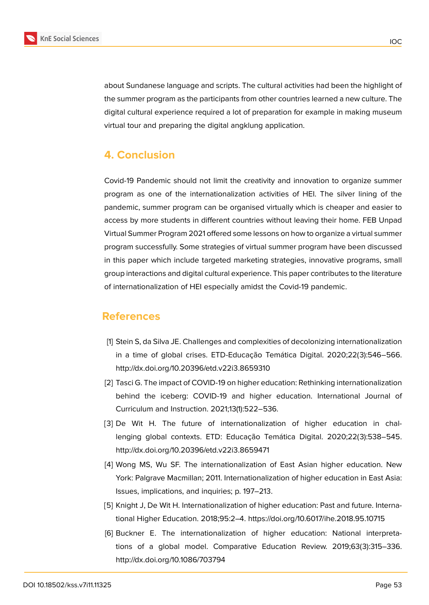

about Sundanese language and scripts. The cultural activities had been the highlight of the summer program as the participants from other countries learned a new culture. The digital cultural experience required a lot of preparation for example in making museum virtual tour and preparing the digital angklung application.

# **4. Conclusion**

Covid-19 Pandemic should not limit the creativity and innovation to organize summer program as one of the internationalization activities of HEI. The silver lining of the pandemic, summer program can be organised virtually which is cheaper and easier to access by more students in different countries without leaving their home. FEB Unpad Virtual Summer Program 2021 offered some lessons on how to organize a virtual summer program successfully. Some strategies of virtual summer program have been discussed in this paper which include targeted marketing strategies, innovative programs, small group interactions and digital cultural experience. This paper contributes to the literature of internationalization of HEI especially amidst the Covid-19 pandemic.

## **References**

- [1] Stein S, da Silva JE. Challenges and complexities of decolonizing internationalization in a time of global crises. ETD-Educação Temática Digital. 2020;22(3):546–566. http://dx.doi.org/10.20396/etd.v22i3.8659310
- [2] Tasci G. The impact of COVID-19 on higher education: Rethinking internationalization behind the iceberg: COVID-19 and higher education. International Journal of Curriculum and Instruction. 2021;13(1):522–536.
- [3] De Wit H. The future of internationalization of higher education in challenging global contexts. ETD: Educação Temática Digital. 2020;22(3):538–545. http://dx.doi.org/10.20396/etd.v22i3.8659471
- [4] Wong MS, Wu SF. The internationalization of East Asian higher education. New York: Palgrave Macmillan; 2011. Internationalization of higher education in East Asia: Issues, implications, and inquiries; p. 197–213.
- [5] Knight J, De Wit H. Internationalization of higher education: Past and future. International Higher Education. 2018;95:2–4. https://doi.org/10.6017/ihe.2018.95.10715
- [6] Buckner E. The internationalization of higher education: National interpretations of a global model. Comparative Education Review. 2019;63(3):315–336. http://dx.doi.org/10.1086/703794